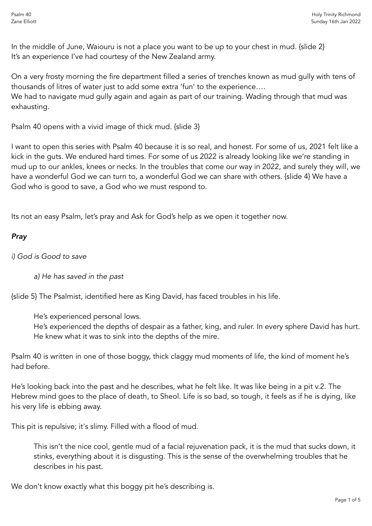In the middle of June, Waiouru is not a place you want to be up to your chest in mud. {slide 2} It's an experience I've had courtesy of the New Zealand army.

On a very frosty morning the fire department filled a series of trenches known as mud gully with tens of thousands of litres of water just to add some extra 'fun' to the experience….

We had to navigate mud gully again and again as part of our training. Wading through that mud was exhausting.

Psalm 40 opens with a vivid image of thick mud. {slide 3}

I want to open this series with Psalm 40 because it is so real, and honest. For some of us, 2021 felt like a kick in the guts. We endured hard times. For some of us 2022 is already looking like we're standing in mud up to our ankles, knees or necks. In the troubles that come our way in 2022, and surely they will, we have a wonderful God we can turn to, a wonderful God we can share with others. {slide 4} We have a God who is good to save, a God who we must respond to.

Its not an easy Psalm, let's pray and Ask for God's help as we open it together now.

## *Pray*

*i) God is Good to save*

*a) He has saved in the past*

{slide 5} The Psalmist, identified here as King David, has faced troubles in his life.

He's experienced personal lows.

He's experienced the depths of despair as a father, king, and ruler. In every sphere David has hurt. He knew what it was to sink into the depths of the mire.

Psalm 40 is written in one of those boggy, thick claggy mud moments of life, the kind of moment he's had before.

He's looking back into the past and he describes, what he felt like. It was like being in a pit v.2. The Hebrew mind goes to the place of death, to Sheol. Life is so bad, so tough, it feels as if he is dying, like his very life is ebbing away.

This pit is repulsive; it's slimy. Filled with a flood of mud.

This isn't the nice cool, gentle mud of a facial rejuvenation pack, it is the mud that sucks down, it stinks, everything about it is disgusting. This is the sense of the overwhelming troubles that he describes in his past.

We don't know exactly what this boggy pit he's describing is.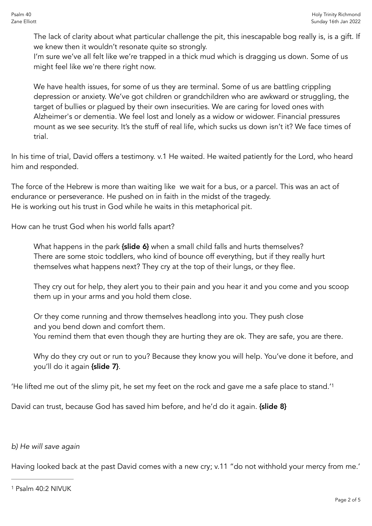The lack of clarity about what particular challenge the pit, this inescapable bog really is, is a gift. If we knew then it wouldn't resonate quite so strongly.

I'm sure we've all felt like we're trapped in a thick mud which is dragging us down. Some of us might feel like we're there right now.

We have health issues, for some of us they are terminal. Some of us are battling crippling depression or anxiety. We've got children or grandchildren who are awkward or struggling, the target of bullies or plagued by their own insecurities. We are caring for loved ones with Alzheimer's or dementia. We feel lost and lonely as a widow or widower. Financial pressures mount as we see security. It's the stuff of real life, which sucks us down isn't it? We face times of trial.

In his time of trial, David offers a testimony. v.1 He waited. He waited patiently for the Lord, who heard him and responded.

The force of the Hebrew is more than waiting like we wait for a bus, or a parcel. This was an act of endurance or perseverance. He pushed on in faith in the midst of the tragedy. He is working out his trust in God while he waits in this metaphorical pit.

How can he trust God when his world falls apart?

What happens in the park {slide 6} when a small child falls and hurts themselves? There are some stoic toddlers, who kind of bounce off everything, but if they really hurt themselves what happens next? They cry at the top of their lungs, or they flee.

They cry out for help, they alert you to their pain and you hear it and you come and you scoop them up in your arms and you hold them close.

Or they come running and throw themselves headlong into you. They push close and you bend down and comfort them. You remind them that even though they are hurting they are ok. They are safe, you are there.

<span id="page-1-1"></span>Why do they cry out or run to you? Because they know you will help. You've done it before, and you'll do it again {slide 7}.

'He lifted me out of the slimy pit, he set my feet on the rock and gave me a safe place to stand.['1](#page-1-0)

David can trust, because God has saved him before, and he'd do it again. {slide 8}

## *b) He will save again*

Having looked back at the past David comes with a new cry; v.11 "do not withhold your mercy from me.'

<span id="page-1-0"></span>[<sup>1</sup>](#page-1-1) Psalm 40:2 NIVUK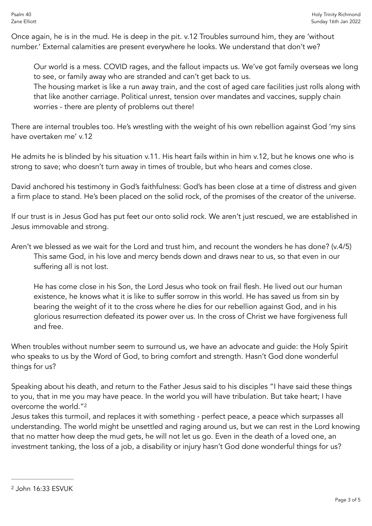Once again, he is in the mud. He is deep in the pit. v.12 Troubles surround him, they are 'without number.' External calamities are present everywhere he looks. We understand that don't we?

Our world is a mess. COVID rages, and the fallout impacts us. We've got family overseas we long to see, or family away who are stranded and can't get back to us.

The housing market is like a run away train, and the cost of aged care facilities just rolls along with that like another carriage. Political unrest, tension over mandates and vaccines, supply chain worries - there are plenty of problems out there!

There are internal troubles too. He's wrestling with the weight of his own rebellion against God 'my sins have overtaken me' v.12

He admits he is blinded by his situation v.11. His heart fails within in him v.12, but he knows one who is strong to save; who doesn't turn away in times of trouble, but who hears and comes close.

David anchored his testimony in God's faithfulness: God's has been close at a time of distress and given a firm place to stand. He's been placed on the solid rock, of the promises of the creator of the universe.

If our trust is in Jesus God has put feet our onto solid rock. We aren't just rescued, we are established in Jesus immovable and strong.

Aren't we blessed as we wait for the Lord and trust him, and recount the wonders he has done? (v.4/5) This same God, in his love and mercy bends down and draws near to us, so that even in our suffering all is not lost.

He has come close in his Son, the Lord Jesus who took on frail flesh. He lived out our human existence, he knows what it is like to suffer sorrow in this world. He has saved us from sin by bearing the weight of it to the cross where he dies for our rebellion against God, and in his glorious resurrection defeated its power over us. In the cross of Christ we have forgiveness full and free.

When troubles without number seem to surround us, we have an advocate and guide: the Holy Spirit who speaks to us by the Word of God, to bring comfort and strength. Hasn't God done wonderful things for us?

Speaking about his death, and return to the Father Jesus said to his disciples "I have said these things to you, that in me you may have peace. In the world you will have tribulation. But take heart; I have overcome the world."[2](#page-2-0)

<span id="page-2-1"></span>Jesus takes this turmoil, and replaces it with something - perfect peace, a peace which surpasses all understanding. The world might be unsettled and raging around us, but we can rest in the Lord knowing that no matter how deep the mud gets, he will not let us go. Even in the death of a loved one, an investment tanking, the loss of a job, a disability or injury hasn't God done wonderful things for us?

<span id="page-2-0"></span>[<sup>2</sup>](#page-2-1) John 16:33 ESVUK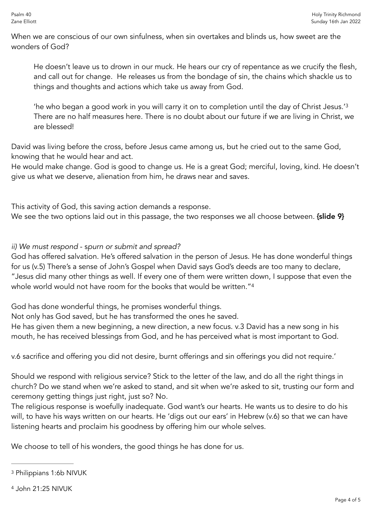When we are conscious of our own sinfulness, when sin overtakes and blinds us, how sweet are the wonders of God?

He doesn't leave us to drown in our muck. He hears our cry of repentance as we crucify the flesh, and call out for change. He releases us from the bondage of sin, the chains which shackle us to things and thoughts and actions which take us away from God.

<span id="page-3-2"></span>'he who began a good work in you will carry it on to completion until the day of Christ Jesus.['3](#page-3-0) There are no half measures here. There is no doubt about our future if we are living in Christ, we are blessed!

David was living before the cross, before Jesus came among us, but he cried out to the same God, knowing that he would hear and act.

He would make change. God is good to change us. He is a great God; merciful, loving, kind. He doesn't give us what we deserve, alienation from him, he draws near and saves.

This activity of God, this saving action demands a response.

We see the two options laid out in this passage, the two responses we all choose between. {slide 9}

## *ii) We must respond* - s*purn or submit and spread?*

God has offered salvation. He's offered salvation in the person of Jesus. He has done wonderful things for us (v.5) There's a sense of John's Gospel when David says God's deeds are too many to declare, "Jesus did many other things as well. If every one of them were written down, I suppose that even the whole world would not have room for the books that would be written."<sup>4</sup>

<span id="page-3-3"></span>God has done wonderful things, he promises wonderful things.

Not only has God saved, but he has transformed the ones he saved.

He has given them a new beginning, a new direction, a new focus. v.3 David has a new song in his mouth, he has received blessings from God, and he has perceived what is most important to God.

v.6 sacrifice and offering you did not desire, burnt offerings and sin offerings you did not require.'

Should we respond with religious service? Stick to the letter of the law, and do all the right things in church? Do we stand when we're asked to stand, and sit when we're asked to sit, trusting our form and ceremony getting things just right, just so? No.

The religious response is woefully inadequate. God want's our hearts. He wants us to desire to do his will, to have his ways written on our hearts. He 'digs out our ears' in Hebrew (v.6) so that we can have listening hearts and proclaim his goodness by offering him our whole selves.

We choose to tell of his wonders, the good things he has done for us.

<span id="page-3-0"></span>[<sup>3</sup>](#page-3-2) Philippians 1:6b NIVUK

<span id="page-3-1"></span>[<sup>4</sup>](#page-3-3) John 21:25 NIVUK